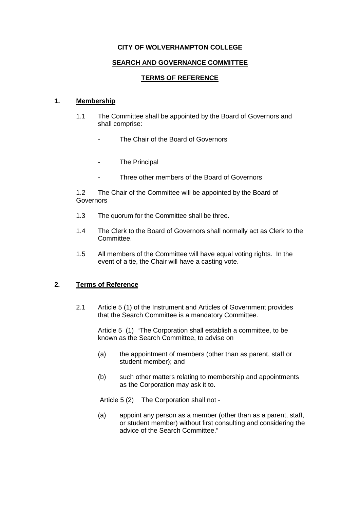## **CITY OF WOLVERHAMPTON COLLEGE**

## **SEARCH AND GOVERNANCE COMMITTEE**

# **TERMS OF REFERENCE**

## **1. Membership**

- 1.1 The Committee shall be appointed by the Board of Governors and shall comprise:
	- The Chair of the Board of Governors
	- The Principal
	- Three other members of the Board of Governors

1.2 The Chair of the Committee will be appointed by the Board of Governors

- 1.3 The quorum for the Committee shall be three.
- 1.4 The Clerk to the Board of Governors shall normally act as Clerk to the Committee.
- 1.5 All members of the Committee will have equal voting rights. In the event of a tie, the Chair will have a casting vote.

# **2. Terms of Reference**

2.1 Article 5 (1) of the Instrument and Articles of Government provides that the Search Committee is a mandatory Committee.

Article 5 (1)"The Corporation shall establish a committee, to be known as the Search Committee, to advise on

- (a) the appointment of members (other than as parent, staff or student member); and
- (b) such other matters relating to membership and appointments as the Corporation may ask it to.

Article 5 (2) The Corporation shall not -

(a) appoint any person as a member (other than as a parent, staff, or student member) without first consulting and considering the advice of the Search Committee."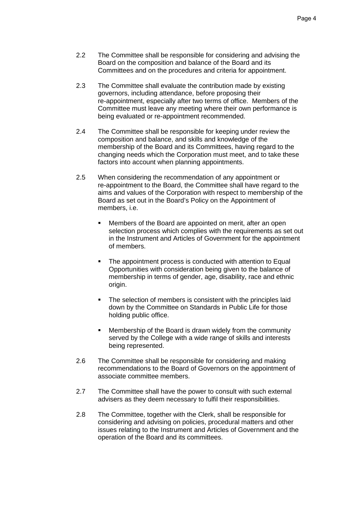- 2.2 The Committee shall be responsible for considering and advising the Board on the composition and balance of the Board and its Committees and on the procedures and criteria for appointment.
- 2.3 The Committee shall evaluate the contribution made by existing governors, including attendance, before proposing their re-appointment, especially after two terms of office. Members of the Committee must leave any meeting where their own performance is being evaluated or re-appointment recommended.
- 2.4 The Committee shall be responsible for keeping under review the composition and balance, and skills and knowledge of the membership of the Board and its Committees, having regard to the changing needs which the Corporation must meet, and to take these factors into account when planning appointments.
- 2.5 When considering the recommendation of any appointment or re-appointment to the Board, the Committee shall have regard to the aims and values of the Corporation with respect to membership of the Board as set out in the Board's Policy on the Appointment of members, i.e.
	- Members of the Board are appointed on merit, after an open selection process which complies with the requirements as set out in the Instrument and Articles of Government for the appointment of members.
	- The appointment process is conducted with attention to Equal Opportunities with consideration being given to the balance of membership in terms of gender, age, disability, race and ethnic origin.
	- The selection of members is consistent with the principles laid down by the Committee on Standards in Public Life for those holding public office.
	- **Membership of the Board is drawn widely from the community** served by the College with a wide range of skills and interests being represented.
- 2.6 The Committee shall be responsible for considering and making recommendations to the Board of Governors on the appointment of associate committee members.
- 2.7 The Committee shall have the power to consult with such external advisers as they deem necessary to fulfil their responsibilities.
- 2.8 The Committee, together with the Clerk, shall be responsible for considering and advising on policies, procedural matters and other issues relating to the Instrument and Articles of Government and the operation of the Board and its committees.